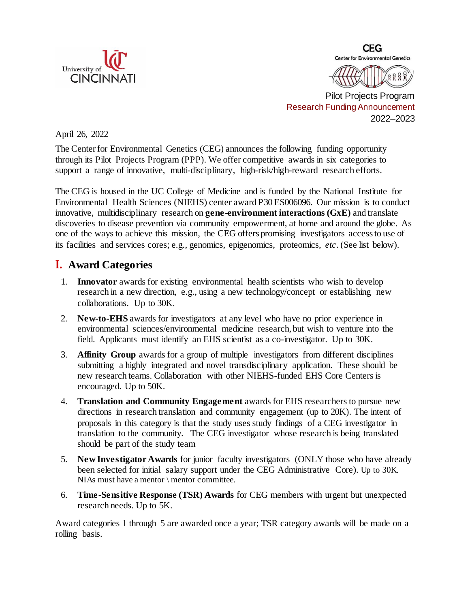



Pilot Projects Program Research Funding Announcement 2022–2023

April 26, 2022

The Centerfor Environmental Genetics (CEG) announces the following funding opportunity through its Pilot Projects Program (PPP). We offer competitive awards in six categories to support a range of innovative, multi-disciplinary, high-risk/high-reward research efforts.

The CEG is housed in the UC College of Medicine and is funded by the National Institute for Environmental Health Sciences (NIEHS) center award P30 ES006096. Our mission is to conduct innovative, multidisciplinary research on **gene-environment interactions (GxE)** and translate discoveries to disease prevention via community empowerment, at home and around the globe. As one of the ways to achieve this mission, the CEG offers promising investigators accessto use of its facilities and services cores; e.g., genomics, epigenomics, proteomics, *etc*. (See list below).

## **I. Award Categories**

- 1. **Innovator** awards for existing environmental health scientists who wish to develop research in a new direction, e.g., using a new technology/concept or establishing new collaborations. Up to 30K.
- 2. **New-to-EHS** awards for investigators at any level who have no prior experience in environmental sciences/environmental medicine research, but wish to venture into the field. Applicants must identify an EHS scientist as a co-investigator. Up to 30K.
- 3. **Affinity Group** awards for a group of multiple investigators from different disciplines submitting a highly integrated and novel transdisciplinary application. These should be new research teams. Collaboration with other NIEHS-funded EHS Core Centers is encouraged. Up to 50K.
- 4. **Translation and Community Engagement** awards for EHS researchers to pursue new directions in research translation and community engagement (up to 20K). The intent of proposals in this category is that the study uses study findings of a CEG investigator in translation to the community. The CEG investigator whose research is being translated should be part of the study team
- 5. **New Investigator Awards** for junior faculty investigators (ONLY those who have already been selected for initial salary support under the CEG Administrative Core). Up to 30K. NIAs must have a mentor \ mentor committee.
- 6. **Time-Sensitive Response (TSR) Awards** for CEG members with urgent but unexpected research needs. Up to 5K.

Award categories 1 through 5 are awarded once a year; TSR category awards will be made on a rolling basis.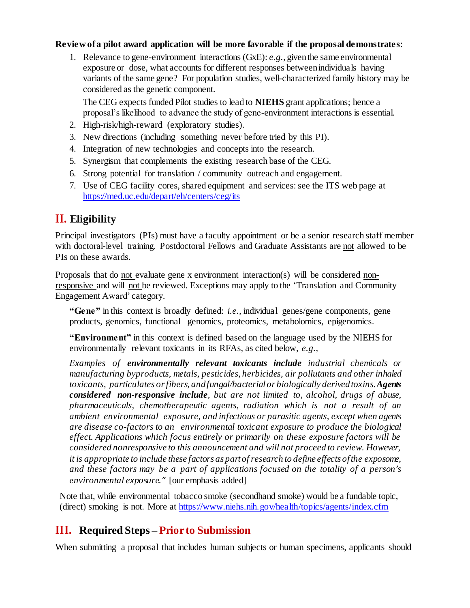#### **Review of a pilot award application will be more favorable if the proposal demonstrates**:

1. Relevance to gene-environment interactions (GxE): *e.g.,* giventhe same environmental exposure or dose, what accounts for different responses betweenindividuals having variants of the same gene? For population studies, well-characterized family history may be considered as the genetic component.

The CEG expects funded Pilot studies to lead to **NIEHS** grant applications; hence a proposal's likelihood to advance the study of gene-environment interactions is essential.

- 2. High-risk/high-reward (exploratory studies).
- 3. New directions (including something never before tried by this PI).
- 4. Integration of new technologies and concepts into the research.
- 5. Synergism that complements the existing research base of the CEG.
- 6. Strong potential for translation / community outreach and engagement.
- 7. Use of CEG facility cores, shared equipment and services: see the ITS web page at <https://med.uc.edu/depart/eh/centers/ceg/its>

# **II. Eligibility**

Principal investigators (PIs) must have a faculty appointment or be a senior research staff member with doctoral-level training. Postdoctoral Fellows and Graduate Assistants are not allowed to be PIs on these awards.

Proposals that do not evaluate gene x environment interaction(s) will be considered nonresponsive and will not be reviewed. Exceptions may apply to the 'Translation and Community Engagement Award' category.

**"Gene"** in this context is broadly defined: *i.e.,* individual genes/gene components, gene products, genomics, functional genomics, proteomics, metabolomics, epigenomics.

**"Environment"** in this context is defined based on the language used by the NIEHS for environmentally relevant toxicants in its RFAs, as cited below, *e.g.,*

*Examples of environmentally relevant toxicants include industrial chemicals or manufacturing byproducts, metals, pesticides, herbicides, air pollutants and other inhaled toxicants, particulates orfibers, andfungal/bacterial or biologically derivedtoxins.Agents considered non-responsive include, but are not limited to, alcohol, drugs of abuse, pharmaceuticals, chemotherapeutic agents, radiation which is not a result of an ambient environmental exposure, and infectious or parasitic agents, except when agents are disease co-factors to an environmental toxicant exposure to produce the biological effect. Applications which focus entirely or primarily on these exposure factors will be considered nonresponsive to this announcement and will not proceed to review. However, it is appropriate to include these factors as part of research to define effects of the exposome, and these factors may be a part of applications focused on the totality of a person's environmental exposure."* [our emphasis added]

Note that, while environmental tobacco smoke (secondhand smoke) would be a fundable topic, (direct) smoking is not. More at<https://www.niehs.nih.gov/health/topics/agents/index.cfm>

# **III. Required Steps – Prior to Submission**

When submitting a proposal that includes human subjects or human specimens, applicants should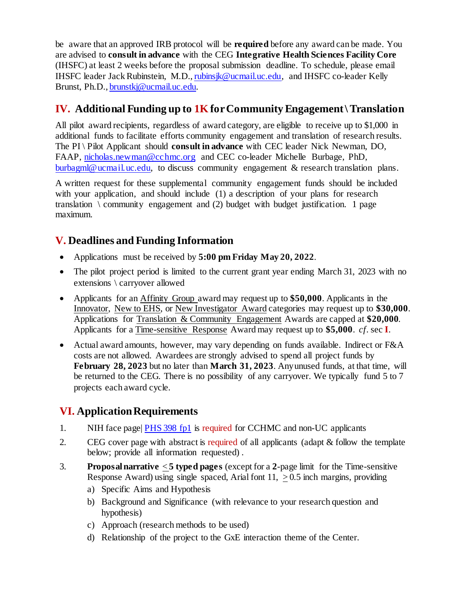be aware that an approved IRB protocol will be **required** before any award can be made. You are advised to **consult in advance** with the CEG **Integrative Health Sciences Facility Core** (IHSFC) at least 2 weeks before the proposal submission deadline. To schedule, please email IHSFC leader Jack Rubinstein, M.D.[, rubinsjk@ucmail.uc.edu,](mailto:rubinsjk@ucmail.uc.edu) and IHSFC co-leader Kelly Brunst, Ph.D.[, brunstkj@ucmail.uc.edu.](mailto:brunstkj@ucmail.uc.edu)

## **IV. Additional Funding up to 1K for Community Engagement \ Translation**

All pilot award recipients, regardless of award category, are eligible to receive up to \$1,000 in additional funds to facilitate efforts community engagement and translation of research results. The PI \ Pilot Applicant should **consult in advance** with CEC leader Nick Newman, DO, FAAP, [nicholas.newman@cchmc.org](mailto:nicholas.newman@cchmc.org) and CEC co-leader Michelle Burbage, PhD, [burbagml@ucmail.uc.edu,](mailto:burbagml@ucmail.uc.edu) to discuss community engagement & research translation plans.

A written request for these supplemental community engagement funds should be included with your application, and should include (1) a description of your plans for research translation  $\setminus$  community engagement and (2) budget with budget justification. 1 page maximum.

## **V. Deadlines and Funding Information**

- Applications must be received by **5:00 pm Friday May 20, 2022**.
- The pilot project period is limited to the current grant year ending March 31, 2023 with no extensions \ carryover allowed
- Applicants for an Affinity Group award may request up to **\$50,000**. Applicants in the Innovator, New to EHS, or New Investigator Award categories may request up to **\$30,000**. Applications for Translation & Community Engagement Awards are capped at **\$20,000**. Applicants for a Time-sensitive Response Award may request up to **\$5,000**. *cf*. sec **I**.
- Actual award amounts, however, may vary depending on funds available. Indirect or F&A costs are not allowed. Awardees are strongly advised to spend all project funds by **February 28, 2023** but no later than **March 31, 2023**. Anyunused funds, at that time, will be returned to the CEG. There is no possibility of any carryover. We typically fund 5 to 7 projects each award cycle.

# **VI. Application Requirements**

- 1. NIH face page| [PHS 398 fp1](https://grants.nih.gov/grants/funding/phs398/phs398.html) is required for CCHMC and non-UC applicants
- 2. CEG cover page with abstract is required of all applicants (adapt & follow the template below; provide all information requested) .
- 3. **Proposalnarrative** < **5 typed pages** (except for a **2**-page limit for the Time-sensitive Response Award) using single spaced, Arial font  $11$ ,  $> 0.5$  inch margins, providing
	- a) Specific Aims and Hypothesis
	- b) Background and Significance (with relevance to your research question and hypothesis)
	- c) Approach (research methods to be used)
	- d) Relationship of the project to the GxE interaction theme of the Center.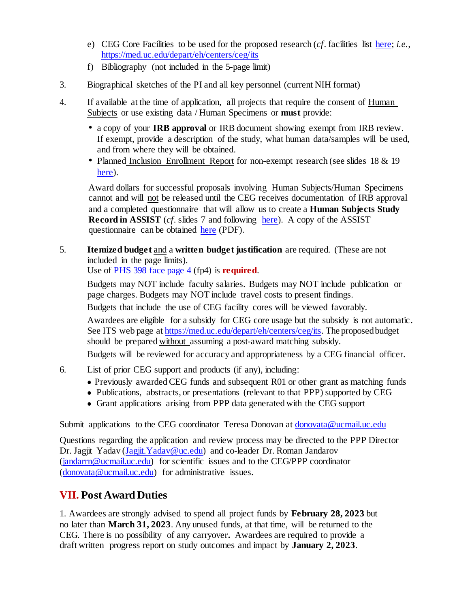- e) CEG Core Facilities to be used for the proposed research (*cf*. facilities list [here;](https://med.uc.edu/depart/eh/centers/ceg/its) *i.e.,*  <https://med.uc.edu/depart/eh/centers/ceg/its>
- f) Bibliography (not included in the 5-page limit)
- 3. Biographical sketches of the PI and all key personnel (current NIH format)
- 4. If available at the time of application, all projects that require the consent of Human Subjects or use existing data / Human Specimens or **must** provide:
	- a copy of your **IRB approval** or IRB document showing exempt from IRB review. If exempt, provide a description of the study, what human data/samples will be used, and from where they will be obtained.
	- Planned Inclusion Enrollment Report for non-exempt research (see slides 18 & 19) [here\)](https://med.uc.edu/docs/default-source/environmental-health-docs/centers/ceg/assist_hs_corectrs_marthabarnes.pdf?sfvrsn=d16a06e_0).

Award dollars for successful proposals involving Human Subjects/Human Specimens cannot and will not be released until the CEG receives documentation of IRB approval and a completed questionnaire that will allow us to create a **Human Subjects Study Record in ASSIST** (*cf.* slides 7 and following [here\)](https://med.uc.edu/docs/default-source/environmental-health-docs/centers/ceg/assist_hs_corectrs_marthabarnes.pdf?sfvrsn=d16a06e_0). A copy of the ASSIST questionnaire can be obtained [here](https://med.uc.edu/docs/default-source/environmental-health-docs/centers/ceg/hss-humansubjectsstudy-data-required-for-assist220b7e46cebf43e38a6be77cfdb5d4e3.pdf?sfvrsn=bb43d46_0) (PDF).

5. **Itemized budget** and a **written budget justification** are required. (These are not included in the page limits).

Use of [PHS 398 face page 4](https://grants.nih.gov/grants/funding/phs398/phs398.html) (fp4) is **required**.

Budgets may NOT include faculty salaries. Budgets may NOT include publication or page charges. Budgets may NOT include travel costs to present findings.

Budgets that include the use of CEG facility cores will be viewed favorably.

Awardees are eligible for a subsidy for CEG core usage but the subsidy is not automatic. See ITS web page at [https://med.uc.edu/depart/eh/centers/ceg/its.](https://med.uc.edu/depart/eh/centers/ceg/its) The proposedbudget should be prepared without assuming a post-award matching subsidy.

Budgets will be reviewed for accuracy and appropriateness by a CEG financial officer.

- 6. List of prior CEG support and products (if any), including:
	- ⚫ Previously awarded CEG funds and subsequent R01 or other grant as matching funds
	- ⚫ Publications, abstracts, or presentations (relevant to that PPP) supported by CEG
	- ⚫ Grant applications arising from PPP data generated with the CEG support

Submit applications to the CEG coordinator Teresa Donovan at [donovata@ucmail.uc.edu](mailto:donovata@ucmail.uc.edu)

Questions regarding the application and review process may be directed to the PPP Director Dr. Jagjit Yadav (Jagjit. Yadav@uc.edu) and co-leader Dr. Roman Jandarov [\(jandarrn@ucmail.uc.edu\)](mailto:jandarrn@ucmail.uc.edu) for scientific issues and to the CEG/PPP coordinator  $(d_{\text{onovata}}@$ ucmail.uc.edu) for administrative issues.

# **VII. Post Award Duties**

1. Awardees are strongly advised to spend all project funds by **February 28, 2023** but no later than **March 31, 2023**. Any unused funds, at that time, will be returned to the CEG. There is no possibility of any carryover**.** Awardees are required to provide a draft written progress report on study outcomes and impact by **January 2, 2023**.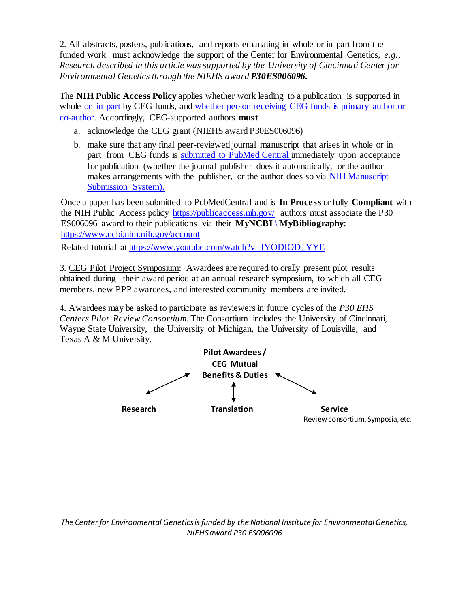2. All abstracts, posters, publications, and reports emanating in whole or in part from the funded work must acknowledge the support of the Center for Environmental Genetics, *e.g., Research described in this article was supported by the University of Cincinnati Center for Environmental Genetics through the NIEHS award P30ES006096.*

The **NIH Public Access Policy** applies whether work leading to a publication is supported in whole [or](http://publicaccess.nih.gov/faq.htm#759) [in part](http://publicaccess.nih.gov/faq.htm#759) by CEG funds, and [whether person](http://nihlibrary.nih.gov/AboutUs/faq/Pages/manuscript2PubMedCentral.aspx) receiving CEG funds is primary author or [co-author.](http://nihlibrary.nih.gov/AboutUs/faq/Pages/manuscript2PubMedCentral.aspx) Accordingly, CEG-supported authors **must**

- a. acknowledge the CEG grant (NIEHS award P30ES006096)
- b. make sure that any final peer-reviewed journal manuscript that arises in whole or in part from CEG funds is [submitted to PubMed](https://publicaccess.nih.gov/submit_process.htm) Central immediately upon acceptance for publication (whether the journal publisher does it automatically, or the author makes arrangements with the publisher, or the author does so via NIH [Manuscript](http://www.nihms.nih.gov/db/sub.cgi) [Submission System\).](http://www.nihms.nih.gov/db/sub.cgi)

Once a paper has been submitted to PubMedCentral and is **In Process** or fully **Compliant** with the NIH Public Access policy <https://publicaccess.nih.gov/> authors must associate the P30 ES006096 award to their publications via their **MyNCBI \ MyBibliography**: <https://www.ncbi.nlm.nih.gov/account>

Related tutorial at [https://www.youtube.com/watch?v=JYODIOD\\_YYE](https://www.youtube.com/watch?v=JYODIOD_YYE)

3. CEG Pilot Project Symposium: Awardees are required to orally present pilot results obtained during their award period at an annual research symposium, to which all CEG members, new PPP awardees, and interested community members are invited.

4. Awardees may be asked to participate as reviewers in future cycles of the *P30 EHS Centers Pilot Review Consortium*. The Consortium includes the University of Cincinnati, Wayne State University, the University of Michigan, the University of Louisville, and Texas A & M University.



*The Center for Environmental Genetics is funded by the National Institute for Environmental Genetics, NIEHS award P30 ES006096*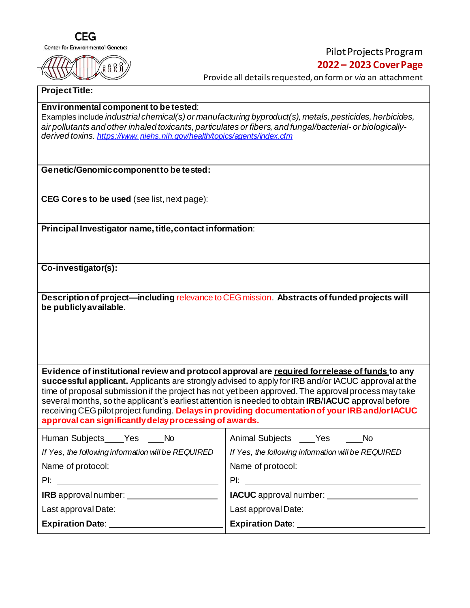

### Pilot Projects Program **2022 – 2023 CoverPage**

Provide all details requested, on form or *via* an attachment

#### **ProjectTitle:**

#### **Environmental component to be tested**:

Examples include *industrial chemical(s) or manufacturing byproduct(s), metals, pesticides, herbicides, air pollutants and other inhaled toxicants, particulates or fibers, and fungal/bacterial- or biologicallyderived toxins. https://www. [niehs.nih.gov/health/topics/agents/index.cfm](https://www.niehs.nih.gov/health/topics/agents/index.cfm)*

**Genetic/Genomiccomponentto be tested:**

**CEG Cores to be used** (see list, next page):

**Principal Investigator name, title, contact information:** 

**Co-investigator(s):**

| Description of project—including relevance to CEG mission. Abstracts of funded projects will |  |
|----------------------------------------------------------------------------------------------|--|
| be publicly available.                                                                       |  |

**Evidence of institutionalreview and protocol approval are required forrelease of funds to any successful applicant.** Applicants are strongly advised to apply for IRB and/or IACUC approval at the time of proposal submission if the project has not yet been approved. The approval process may take several months, so the applicant's earliest attention is needed to obtain **IRB**/**IACUC** approval before receiving CEGpilot project funding. **Delays in providing documentationof yourIRBand/orIACUC approval can significantlydelayprocessing of awards.**

| Human Subjects Yes No                              | Animal Subjects ____Yes<br><b>No.</b>              |  |
|----------------------------------------------------|----------------------------------------------------|--|
| If Yes, the following information will be REQUIRED | If Yes, the following information will be REQUIRED |  |
|                                                    |                                                    |  |
| $P$ l:                                             |                                                    |  |
| IRB approval number:                               | IACUC approval number: ________________            |  |
| Last approval Date: ________                       | Last approval Date: _______                        |  |
| <b>Expiration Date:</b>                            | <b>Expiration Date:</b>                            |  |